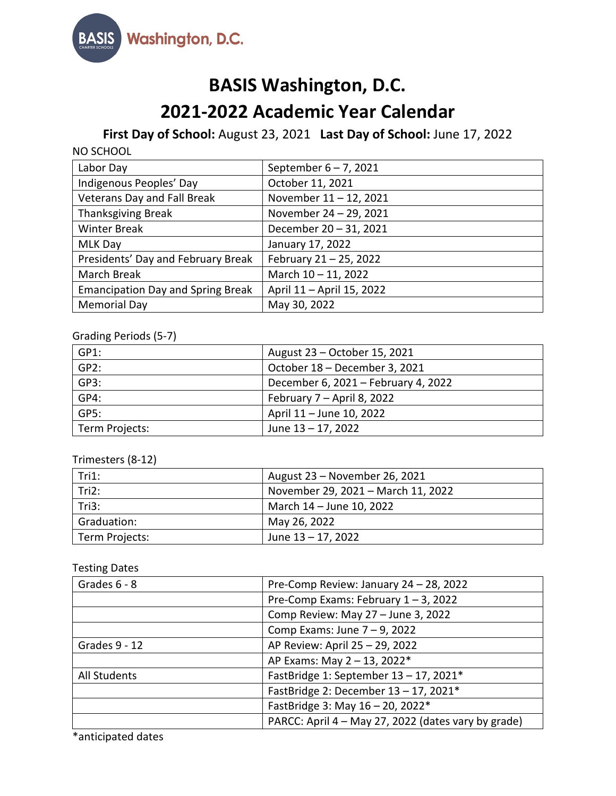

# **BASIS Washington, D.C.**

# **2021-2022 Academic Year Calendar**

## **First Day of School:** August 23, 2021 **Last Day of School:** June 17, 2022

| Labor Day                                | September $6 - 7$ , 2021  |
|------------------------------------------|---------------------------|
| Indigenous Peoples' Day                  | October 11, 2021          |
| Veterans Day and Fall Break              | November 11 - 12, 2021    |
| <b>Thanksgiving Break</b>                | November 24 - 29, 2021    |
| <b>Winter Break</b>                      | December 20 - 31, 2021    |
| <b>MLK Day</b>                           | January 17, 2022          |
| Presidents' Day and February Break       | February 21 - 25, 2022    |
| March Break                              | March $10 - 11$ , 2022    |
| <b>Emancipation Day and Spring Break</b> | April 11 - April 15, 2022 |
| <b>Memorial Day</b>                      | May 30, 2022              |

## Grading Periods (5-7)

| GP1:           | August 23 – October 15, 2021        |
|----------------|-------------------------------------|
| GP2:           | October 18 - December 3, 2021       |
| GP3:           | December 6, 2021 - February 4, 2022 |
| GP4:           | February 7 - April 8, 2022          |
| GP5:           | April 11 - June 10, 2022            |
| Term Projects: | June 13 - 17, 2022                  |

## Trimesters (8-12)

| Tri1:          | August 23 – November 26, 2021      |
|----------------|------------------------------------|
| Tri2:          | November 29, 2021 - March 11, 2022 |
| Tri3:          | March 14 - June 10, 2022           |
| Graduation:    | May 26, 2022                       |
| Term Projects: | June 13 - 17, 2022                 |

### Testing Dates

| Grades 6 - 8  | Pre-Comp Review: January 24 - 28, 2022              |
|---------------|-----------------------------------------------------|
|               | Pre-Comp Exams: February $1 - 3$ , 2022             |
|               | Comp Review: May 27 - June 3, 2022                  |
|               | Comp Exams: June $7 - 9$ , 2022                     |
| Grades 9 - 12 | AP Review: April 25 - 29, 2022                      |
|               | AP Exams: May 2 - 13, 2022*                         |
| All Students  | FastBridge 1: September 13 - 17, 2021*              |
|               | FastBridge 2: December 13 - 17, 2021*               |
|               | FastBridge 3: May 16 - 20, 2022*                    |
|               | PARCC: April 4 - May 27, 2022 (dates vary by grade) |

\*anticipated dates